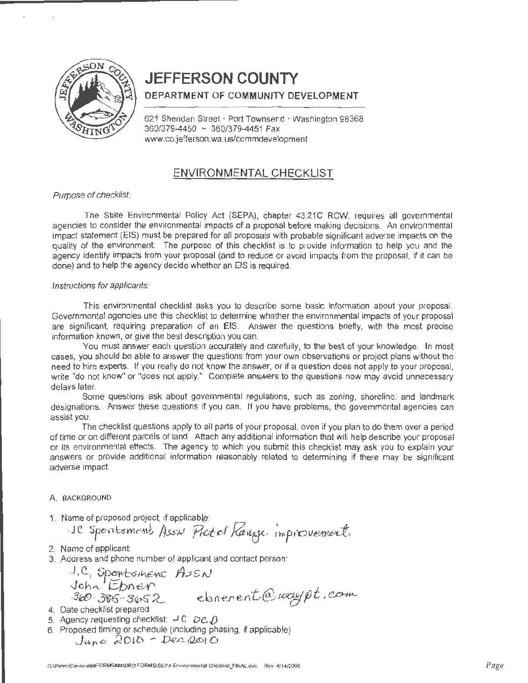

# **JEFFERSON COUNTY DEPARTMENT OF COMMUNITY DEVELOPMENT**

621 Sheridan Street· Port Townsend· Washington 98368 360/379-4450 - 360/379-4451 Fax www.co.jefferson.wa.us/commdevelopment

## ENVIRONMENTAL CHECKLIST

## Purpose of checklist:

The State Environmental Policy Act (SEPA), chapter 43.21C RCW, requires all governmental agencies to consider the environmental impacts of a proposal before making decisions. An environmental impact statement (EIS) must be prepared for all proposals with probable significant adverse impacts on the quality of the environment. The purpose of this checklist is to provide information to help you and the agency identify impacts from your proposal (and to reduce or avoid impacts from the proposal, if it can be done) and to help the agency decide whether an EIS is required.

## Instructions for applicants:

This environmental checklist asks you to describe some basic information about your proposal. Governmental agencies use this checklist to determine whether the environmental impacts of your proposal are significant, requiring preparation of an EIS. Answer the questions briefly, with the most precise information known, or give the best description you can.

You must answer each question accurately and carefully, to the best of your knowledge. In most cases, you should be able to answer the questions from your own observations or project plans without the need to hire experts. If you really do not know the answer, or if a question does not apply to your proposal, write "do not know'' or "does not apply." Complete answers to the questions now may avoid unnecessary delays later.

Some questions ask about governmental regulations, such as zoning, shoreline, and landmark designations. Answer these questions if you can. If you have problems, the governmental agencies can assist you.

The checklist questions apply to all parts of your proposal, even if you plan to do them over a period of time or on different parcels of land. Attach any additional information that will help describe your proposal or its environmental effects. The agency to which you submit this checklist may ask you to explain your answers or provide additional information reasonably related to determining if there may be significant adverse impact

## A. BACKGROUND

1. Name of proposed project, if applicable:

JC *Spe,vi·bdWL~b /t.ss!J f/6-tr;;f ~ - ,'\_,.,f r"(;)llet116'-t:l* 

- 2. Name of applicant:
- 3. Address and phone number of applicant and contact person:

J,C., 5~-b&~· *fl.:5S t.J*  .Joh"'- *Cbt\* ,e,,(' -3fd!)-J~·'3~Q.., e.b(l'f:'.:('€.f\t,@~f)t ,~

- 4. Date checklist prepared:
- 5. Agency requesting checklist:  $\exists C, D \subset D$
- 6. Proposed timing or schedule (including phasing, if applicable) J~~ *t20tb* - *.lJea.* &JD/ O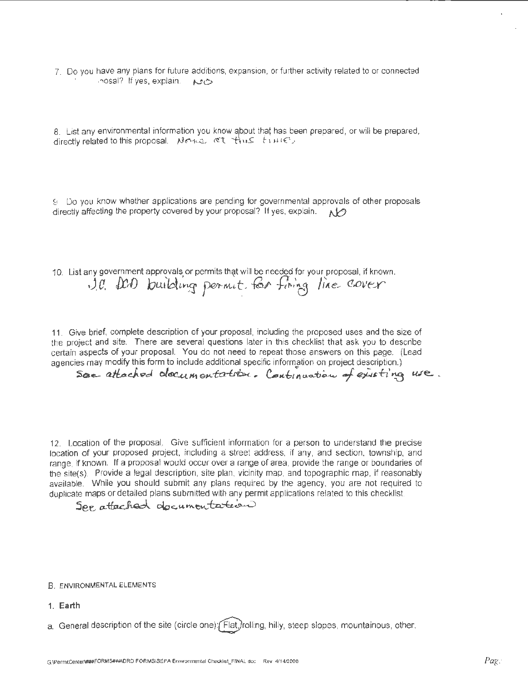7. Do you have any plans for future additions, expansion, or further activity related to or connected this 11r?posal? If yes, explain. **µC>** 

8. List any environmental information you know about that has been prepared, or will be prepared, directly related to this proposal. Nonce, at thus  $l_1w\in I$ .

9. Do you know whether applications are pending for governmental approvals of other proposals directly affecting the property covered by your proposal? If yes, explain.  $A'$ 

10. List any government approvals or permits that will be needed for your proposal, if known.<br>J.C. DUD building permit. for firing line Cover

11. Give brief, complete description of your proposal, including the proposed uses and the size of the project and site. There are several questions later in this checklist that ask you to describe certain aspects of your proposal. You do not need to repeat those answers on this page. (Lead agencies may modify this form to include additional specific information on project description.)

```
See attached documentation. Continuation of existing use.
```
12. Location of the proposal, Give sufficient information for a person to understand the precise location of your proposed project, including a street address, if any, and section, township, and range, if known. If a proposal would occur over a range of area, provide the range or boundaries of the site(s). Provide a legal description, site plan, vicinity map, and topographic map, if reasonably available. While you should submit any plans required by the agency, you are not required to duplicate maps or detailed plans submitted with any permit applications related to this checklist.<br>See attached documentarised

**8. ENVIRONMENTAL ELEMENTS** 

1. **Earth** 

a. General description of the site (circle one): Flat, rolling, hilly, steep slopes, mountainous, other.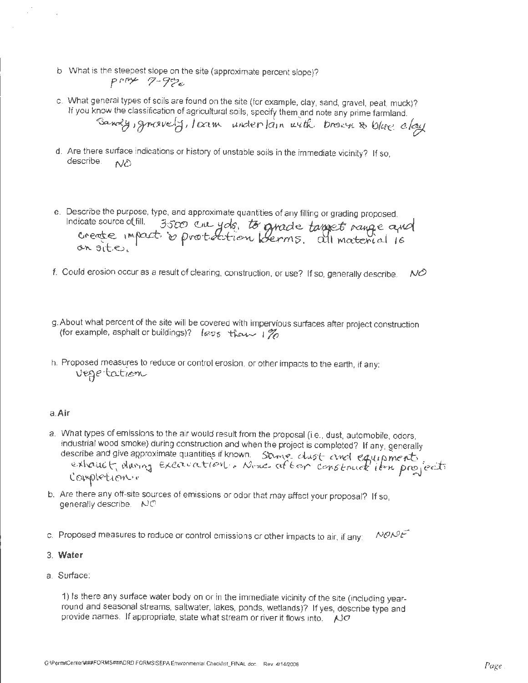- b What is the steepest slope on the site (approximate percent slope)?  $P^{row}$  7-920
- c. What general types of soils are found on the site (for example, clay, sand, gravel, peat, muck)? If you know the classification of agricultural soils, specify them and note any prime farmland. Sandy, grouvely, loam underlain with brown & blue close
- d. Are there surface indications or history of unstable soils in the immediate vicinity? If so, describe. NÕ
- e. Describe the purpose, type, and approximate quantities of any filling or grading proposed. dicate source of fill. 3500 cm yols, to grade target range and Indicate source of fill.
- f. Could erosion occur as a result of clearing, construction, or use? If so, generally describe. - NO
- g. About what percent of the site will be covered with impervious surfaces after project construction (for example, asphalt or buildings)? less thave 1%
- h. Proposed measures to reduce or control erosion, or other impacts to the earth, if any: vege tation

## a.Air

- a. What types of emissions to the air would result from the proposal (i.e., dust, automobile, odors, industrial wood smoke) during construction and when the project is completed? If any, generally describe and give approximate quantities if known. Some clust and equipment Completion .
- b. Are there any off-site sources of emissions or odor that may affect your proposal? If so, generally describe. NO
- c. Proposed measures to reduce or control emissions or other impacts to air, if any: NONE
- 3. Water
- a. Surface:

1) Is there any surface water body on or in the immediate vicinity of the site (including yearround and seasonal streams, saltwater, lakes, ponds, wetlands)? If yes, describe type and provide names. If appropriate, state what stream or river it flows into. AJO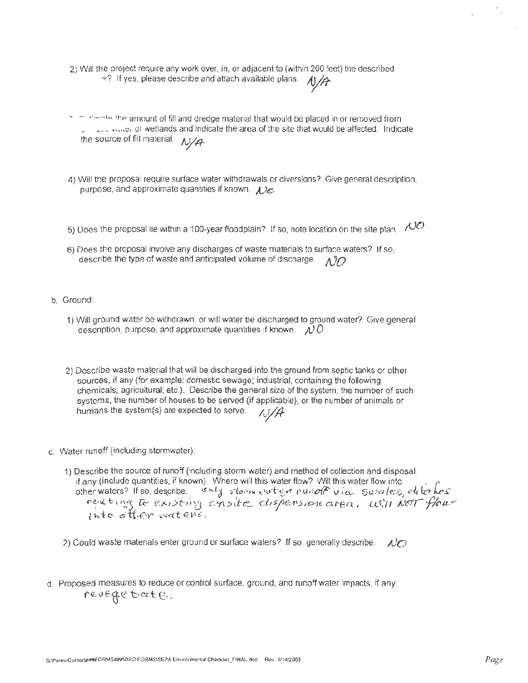- 2) Will the project require any work over, in, or adjacent to (within 200 feet) the described rs? If yes, please describe and attach available plans.
- of the the amount of fill and dredge material that would be placed in or removed from University of wetlands and indicate the area of the site that would be affected. Indicate the source of fill material.  $N/A$
- 4) Will the proposal require surface water withdrawals or diversions? Give general description, purpose, and approximate quantities if known.  $\bigcup_{\mathbf{C}}$
- 5) Does the proposal lie within a 100-year floodplain? If so, note location on the site plan.  $\angle O\overline{O}$
- 6) Does the proposal involve any discharges of waste materials to surface waters? If so, describe the type of waste and anticipated volume of discharge.  $\Lambda$  )  $\Omega$
- b. Ground:
	- 1) Will ground water be withdrawn, or will water be discharged to ground water? Give general description, purpose, and approximate quantities if known.  $\sim \mathcal{N} \mathcal{D}$
	- 2) Describe waste material that will be discharged into the ground from septic tanks or other sources, if any (for example: domestic sewage; industrial, containing the following chemicals; agricultural; etc.). Describe the general size of the system, the number of such systems, the number of houses to be served (if applicable), or the number of animals or humans the system(s) are expected to serve.  $N/A$
- c. Water runoff (including stormwater):
	- 1) Describe the source of runoff (including storm water) and method of collection and disposal. if any (include quantities, if known). Where will this water flow? Will this water flow into other waters? If so, describe any storm verter punoff via surveyes, dite hes nouting to existing chaite dispension area, will NOT flow.
	- 2) Could waste materials enter ground or surface waters? If so, generally describe. AIO.
- d. Proposed measures to reduce or control surface, ground, and runoff water impacts, if any: revegetoate.

÷.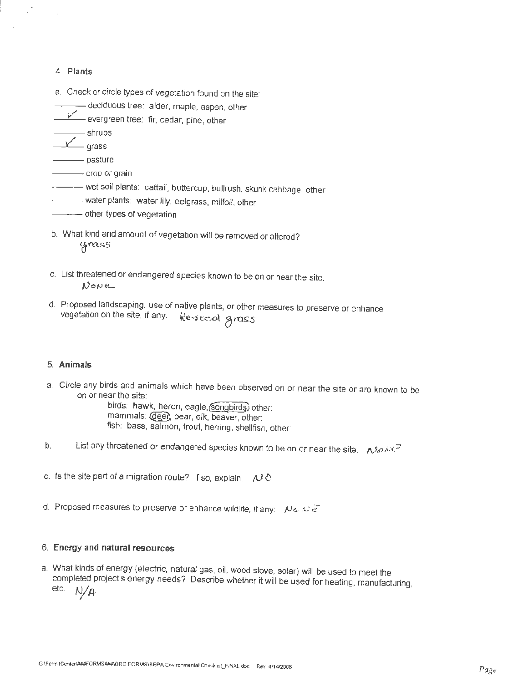## 4. **Plants**

- a. Check or circle types of vegetation found on the site: ---deciduous tree: alder, maple, aspen, other
- *y* deciduous tree: alder, maple, aspen, other<br>**y** evergreen tree: fir, cedar, pine, other
- 
- -shrubs

- *\_\_*\_*\_\_\_* grass \_\_\_\_\_\_\_\_ pasture
- -------- pasture<br>--------- crop or grain
- ———— crop or grain<br>———— wet soil plants: cattail, buttercup, bullrush, skunk cabbage, other ---water plants: water lily, eelgrass, milfoil, other
- ----------- water plants: water lily, eelgrass, milfoil, other<br>---------- other types of vegetation
- 
- b. What kind and amount of vegetation will be removed or altered? **%1'U.SS**
- c. List threatened or endangered species known to be on or near the site.  $Now$  $e$
- d. Proposed landscaping, use of native plants, or other measures to preserve or enhance<br>vegetation on the site, if any:  $\Re$ e~sie⇔ol, simpless

#### 5. **Animals**

a. Circle any birds and animals which have been observed on or near the site or are known to be on or near the site:

birds: hawk, heron, eagle, songbirds, other: mammals: @ee), bear, elk, beaver, other: fish: bass, salmon, trout, herring, shellfish, other:

- b. List any threatened or endangered species known to be on or near the site.  $\sqrt{\hbar}$
- c. Is the site part of a migration route? If so, explain.  $\forall \theta$  0
- d. Proposed measures to preserve or enhance wildlife, if any:  $\forall A \in \mathbb{R}$

## 6. **Energy and natural resources**

a. What kinds of energy (electric, natural gas, oil, wood stove, solar) will be used to meet the completed project's energy needs? Describe whether it will be used for heating, manufacturing, etc. **N/4**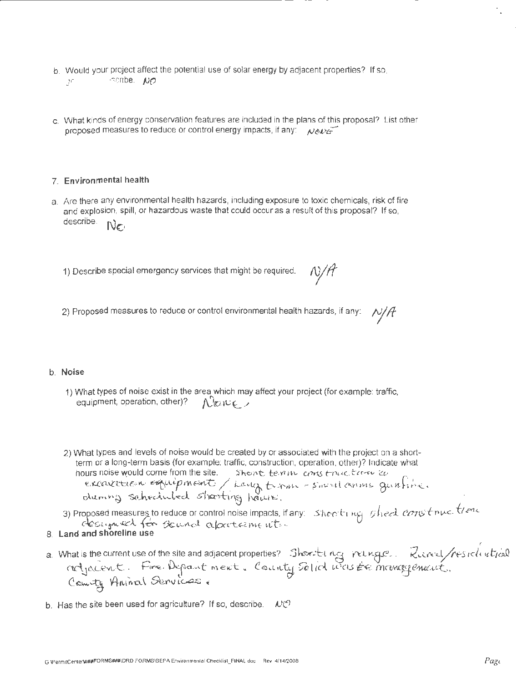- b. would your project affect the potential use of solar energy by adjacent properties? If so, gem. 11 rlr.>scribe. *fv()*
- c. What kinds of energy conservation features are included in the plans of this proposal? List other proposed measures to reduce or control energy impacts, if any: **judical**

## 7. **Environmental health**

a. Are there any environmental health hazards, including exposure to toxic chemicals, risk of fire and explosion, spill, or hazardous waste that could occur as a result of this proposal? If so, describe. No

1) Describe special emergency services that might be required.  $\pi$   $\frac{N}{A}$ 

2) Proposed measures to reduce or control environmental health hazards, if any:  $\sqrt{N}$ 

#### b. **Noise**

- 1) What types of noise exist in the area which may affect your project (for example: traffic, equipment, operation, other)? **A**lexice
- 2) What types and levels of noise would be created by or associated with the project on a shortterm or a long-term basis (for example: traffic, construction, operation, other)? Indicate what hours noise would come from the site. Showt temm come truck term *co* urs noise would come from the site. Short term and true term indicate what<br>exactles in explicit ment. Lowly term and true terms gunfine. exerved on speepment , Long terms - since as
- 3) Proposed measures to reduce or control noise impacts, if any: Shoo<sup>rb</sup>i *held... Constitute tiene* oposed measures to reduce or common observations, it any. Shep is not designed for search about exercements.
- 
- a. What is the current use of the site and adjacent properties? Show-thing manage: Runcel/residential natis incomentase or the site and adjacent properties? Show in my perhaps ... Kurely ~~ **'A-11.\~\. .9e.¥'\Jtc.a.s <i**
- b. Has the site been used for agriculture? If so, describe.  $\mathcal{H}\mathcal{O}$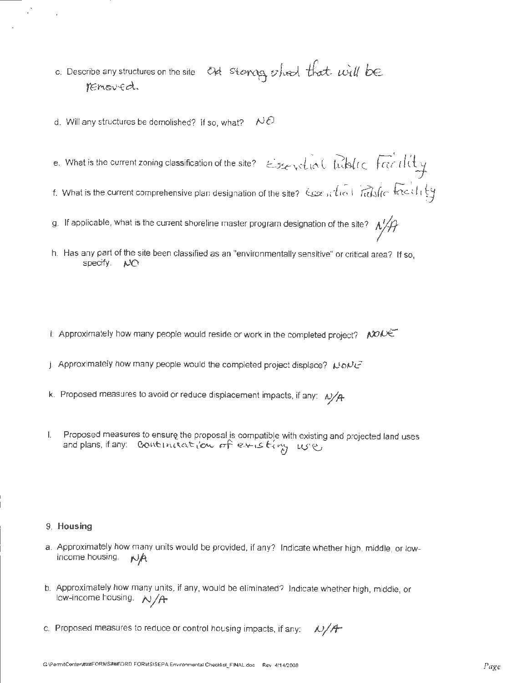- c. Describe any structures on the site old storing shed that will be removed.
- d. Will any structures be demolished? If so, what?  $\vdash \mathcal{b}\mathcal{D}$
- e. What is the current zoning classification of the site?  $E_{12x}$  which  $E_{13}$  is  $E_{24}$  where  $E_{34}$ f. What is the current comprehensive plan designation of the site? *fear it finds free* it it fight
- g. If applicable, what is the current shoreline master program designation of the site?  $\mathcal{N}/\mathcal{H}$
- h. Has any part of the site been classified as an "environmentally sensitive" or critical area? If so, specify. **NO**
- i. Approximately how many people would reside or work in the completed project? **NOI**DE
- j. Approximately how many people would the completed project displace? **ootJ€**
- k. Proposed measures to avoid or reduce displacement impacts, if any: *N/A*-
- I. Proposed measures to ensure the proposal is compatible with existing and projected land uses and plans, if any: **Content of the proposal is compatible with existing** and plans, if any: **Content interaction**

## 9. **Housing**

- a. Approximately how many units would be provided, if any? Indicate whether high, middle, or lowincome housing. **NA**
- b. Approximately how many units, if any, would be eliminated? Indicate whether high, middle, or low-income housing.  $N/A$
- c. Proposed measures to reduce or control housing impacts, if any:  $\mathcal{D}/\mathcal{A}$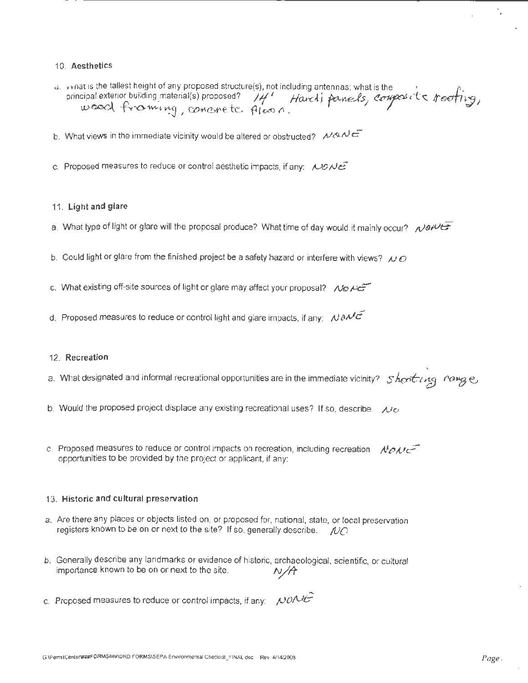## 10. **Aesthetics**

- a. What rs the tallest height of any proposed structure(s), not including antennas; what is the *{>,*  principal exterior building material(s) proposed? *IIf I Franchi Panels, composed*  $i$  *If reofing*, *u.>~* -~"~, C:6+'l<'.!A"et *flt€1<P V'.*
- b. What views in the immediate vicinity would be altered or obstructed?  $\mathcal{N} \oplus \mathcal{N} \in \mathbb{R}$
- c. Proposed measures to reduce or control aesthetic impacts, if any: **/JaN€**

## 11. **Light and glare**

- a. What type of light or glare will the proposal produce? What time of day would it mainly occur? */lexutifian*
- b. Could light or glare from the finished project be a safety hazard or interfere with views? *IJ o*
- c. What existing off-site sources of light or glare may affect your proposal? *No}Jt!:*
- ,.., d. Proposed measures to reduce or control light and glare impacts, if any:  $\triangle\theta\triangle C$

## 12. **Recreation**

- a. What designated and informal recreational opportunities are in the immediate vicinity? Shorit cing Pangle,
- b. Would the proposed project displace any existing recreational uses? If so, describe. *No*
- c. Proposed measures to reduce or control impacts on recreation, including recreation */Jt)A.,Jt:F°*  opportunities to be provided by the project or applicant, if any:

## 13. **Historic and cultural preservation**

- a. Are there any places or objects listed on, or proposed for, national, state, or local preservation registers known to be on or next to the site? If so, generally describe.  $\mathcal{N}\cap$
- b. Generally describe any landmarks or evidence of historic, archaeological, scientific, or cultural importance known to be on or next to the site.  $N/A$

c. Proposed measures to reduce or control impacts, if any:  $\mathcal{L}O\mathcal{A}\mathcal{L}$ 

۰.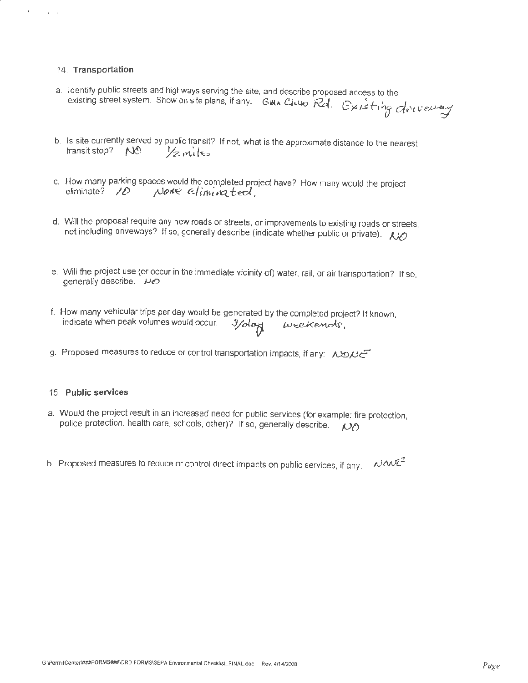#### 14. Transportation

 $\sim 10$ 

- a. Identify public streets and highways serving the site. and describe proposed access to the identify public streets and mynways serving and did, dimensioned in  $R_d$ . Existing dividendary existing street system. Show on site plans, if any. Gua Circle  $R_d$ . Existing dividendary
- b. Is site currently served by public transit? If not, what is the approximate distance to the nearest transit stop?  $\mathcal{M}$ ,  $\mathcal{M}$ ,  $\mathcal{M}$
- c. How many parking spaces would the completed project have? How many would the project eliminate? /[) **/J&Xe** *e.flMi l'Cl....te::,(*
- d. Will the proposal require any new roads or streets, or improvements to existing roads or streets, not including driveways? If so, generally describe (indicate whether public or private). A/O
- e. Will the project use (or occur in the immediate vicinity of) water, rail, or air transportation? If so, generally describe. **µe**
- f. How many vehicular trips per day would be generated by the completed project? If known, indicate when peak volumes would occur. 3/ology weekends.
- g. Proposed measures to reduce or control transportation impacts, if any:  $\triangle$

#### 15. **Public services**

- a. Would the project result in an increased need for public services (for example: fire protection, police protection, health care, schools, other)? If so, generally describe.  $D \cap$
- NOVE b. Proposed measures to reduce or control direct impacts on public services, if any.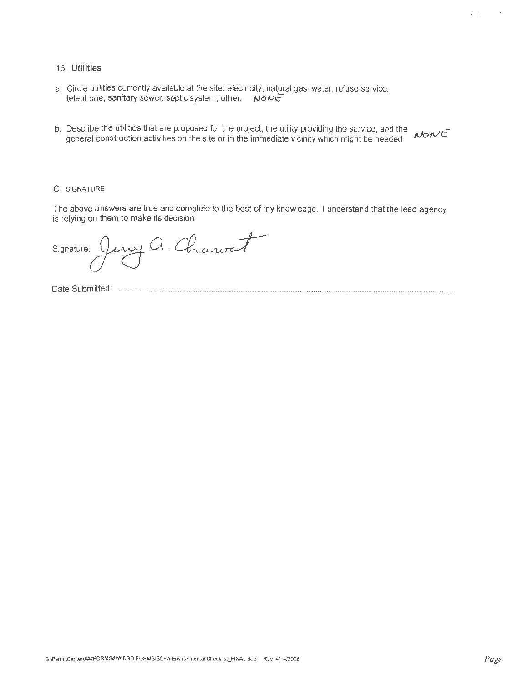- 16. **Utilities**
- a. Circle utilities currently available at the site: electricity, natural gas, water, refuse service, telephone, sanitary sewer, septic system, other. **NoVE**
- b. Describe the utilities that are proposed for the project, the utility providing the service, and the  $\mu_{\text{M}}$ general construction activities on the site or in the immediate vicinity which might be needed.
- C. SIGNATURE

The above answers are true and complete to the best of my knowledge. I understand that the lead agency is relying on them to make its decision.

Signature: Jury a. Charvat

Date Submitted: ................................................................................................................................................... .

 $\sim$   $\alpha$  $\alpha = \alpha + \beta$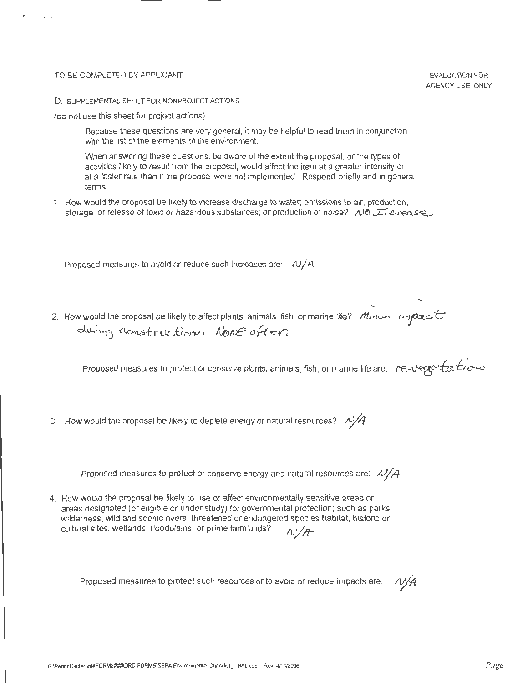#### TO BE COMPLETED BY APPLICANT

 $\mathcal{L} = \mathcal{L}$ 

**EVALUATION FOR** AGENCY USE ONLY

D. SUPPLEMENTAL SHEET FOR NONPROJECT ACTIONS

(do not use this sheet for project actions)

Because these questions are very general, it may be helpful to read them in conjunction with the list of the elements of the environment.

When answering these questions, be aware of the extent the proposal, or the types of activities likely to result from the proposal, would affect the item at a greater intensity or at a faster rate than if the proposal were not implemented. Respond briefly and in general terms.

1. How would the proposal be likely to increase discharge to water; emissions to air; production, storage, or release of toxic or hazardous substances; or production of noise? NO IFrancase

Proposed measures to avoid or reduce such increases are:  $\mathcal{N}/\mathcal{A}$ 

2. How would the proposal be likely to affect plants, animals, fish, or marine life? Mine-n trapacet during construction. None after.

Proposed measures to protect or conserve plants, animals, fish, or marine life are: re-vectefation

3. How would the proposal be likely to deplete energy or natural resources?  $\sqrt{A}$ 

Proposed measures to protect or conserve energy and natural resources are:  $\sqrt{2}$ 

4. How would the proposal be likely to use or affect environmentally sensitive areas or areas designated (or eligible or under study) for governmental protection; such as parks, wilderness, wild and scenic rivers, threatened or endangered species habitat, historic or cultural sites, wetlands, floodplains, or prime farmlands?  $\Lambda'/\rho$ 

Proposed measures to protect such resources or to avoid or reduce impacts are:  $\sqrt{2\pi}$